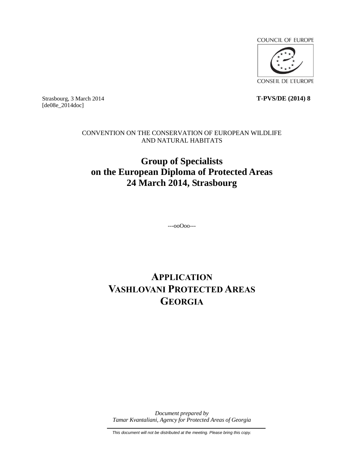

Strasbourg, 3 March 2014 **T-PVS/DE (2014) 8** [de08e\_2014doc]

> CONVENTION ON THE CONSERVATION OF EUROPEAN WILDLIFE AND NATURAL HABITATS

# **Group of Specialists on the European Diploma of Protected Areas 24 March 2014, Strasbourg**

---ooOoo---

# **APPLICATION VASHLOVANI PROTECTED AREAS GEORGIA**

*Document prepared by Tamar Kvantaliani, Agency for Protected Areas of Georgia*

*This document will not be distributed at the meeting. Please bring this copy.*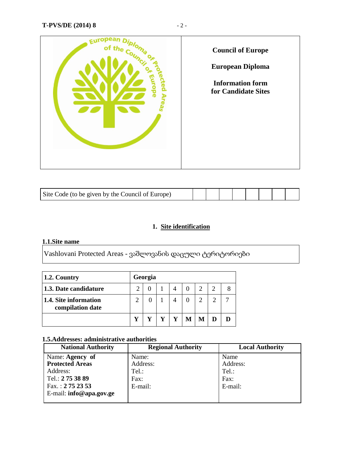

| Site Code (to be given by the Council of Europe) |  |  |  |  |  |  |  |  |
|--------------------------------------------------|--|--|--|--|--|--|--|--|
|--------------------------------------------------|--|--|--|--|--|--|--|--|

## **1. Site identification**

## **1.1.Site name**

Vashlovani Protected Areas - ვაშლოვანის დაცული ტერიტორიები

| $\vert$ 1.2. Country                      |               | Georgia  |  |  |  |
|-------------------------------------------|---------------|----------|--|--|--|
| 1.3. Date candidature                     |               |          |  |  |  |
| 1.4. Site information<br>compilation date | $\mathcal{D}$ | $\Omega$ |  |  |  |
|                                           |               |          |  |  |  |

## **1.5.Addresses: administrative authorities**

| <b>National Authority</b> | <b>Regional Authority</b> | <b>Local Authority</b> |
|---------------------------|---------------------------|------------------------|
| Name: Agency of           | Name:                     | Name                   |
| <b>Protected Areas</b>    | Address:                  | Address:               |
| Address:                  | Tel.:                     | Tel.:                  |
| Tel.: 275 38 89           | Fax:                      | Fax:                   |
| Fax.: $2752353$           | E-mail:                   | E-mail:                |
| E-mail: info@apa.gov.ge   |                           |                        |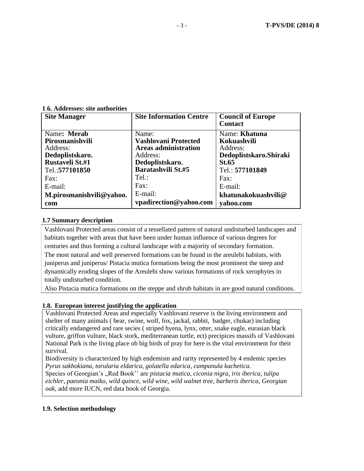| <b>Site Manager</b>      | <b>Site Information Centre</b> | <b>Council of Europe</b><br><b>Contact</b> |
|--------------------------|--------------------------------|--------------------------------------------|
| Name: Merab              | Name:                          | Name: Khatuna                              |
| Pirosmanishvili          | Vashlovani Protected           | Kokuashvili                                |
| Address:                 | <b>Areas administration</b>    | Address:                                   |
| Dedoplistskaro.          | Address:                       | Dedoplistskaro. Shiraki                    |
| Rustaveli St.#1          | Dedoplistskaro.                | St.65                                      |
| Tel.: 577101850          | <b>Baratashvili St.#5</b>      | Tel.: 577101849                            |
| Fax:                     | Tel.:                          | Fax:                                       |
| $E$ -mail:               | Fax:                           | E-mail:                                    |
| M.pirosmanishvili@yahoo. | E-mail:                        | khatunakokuashvili@                        |
| com                      | vpadirection@yahoo.com         | yahoo.com                                  |

**1**.**6. Addresses: site authorities**

#### **1.7 Summary description**

Vashlovani Protected areas consist of a tessellated pattern of natural undisturbed landscapes and habitats together with areas that have been under human influence of various degrees for centuries and thus forming a cultural landscape with a majority of secondary formation. The most natural and well preserved formations can be found in the areulebi habitats, with juniperus and juniperus/ Pistacia mutica formations being the most prominent the steep and dynamically eroding slopes of the Areulebi show various formations of rock xerophytes in totally undisturbed condition.

Also Pistacia mutica formations on the steppe and shrub habitats in are good natural conditions.

#### **1.8. European interest justifying the application**

Vashlovani Protected Areas and especially Vashlovani reserve is the living environment and shelter of many animals ( bear, swine, wolf, fox, jackal, rabbit, badger, chukar) including critically endangered and rare secies ( striped hyena, lynx, otter, snake eagle, eurasian black vulture, griffon vulture, black stork, mediterranean turtle, ect) precipices massifs of Vashlovani National Park is the living place ob big birds of pray for here is the vital environment for their survival.

Biodiversity is characterized by high endemism and rarity represented by 4 endemic species *Pyrus sakhokiana, torularia eldarica, golatella edarica, campanula kachetica.*

Species of Georgian's ,,Red Book'' are *pistacia mutica, ciconia nigra, iris iberica, tulipa eichler, paeonia maiko, wild quince, wild wine, wild walnet tree, barberis iberica, Georgian oak*, add more IUCN, red data book of Georgia.

#### **1.9. Selection methodology**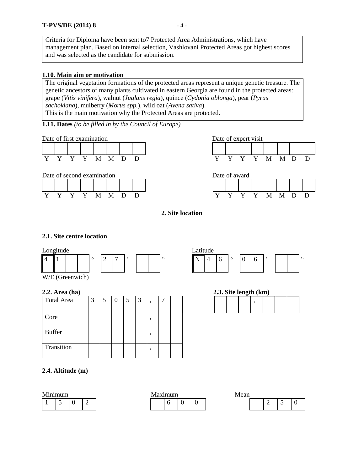Criteria for Diploma have been sent to7 Protected Area Administrations, which have management plan. Based on internal selection, Vashlovani Protected Areas got highest scores and was selected as the candidate for submission.

#### **1.10. Main aim or motivation**

The original vegetation formations of the protected areas represent a unique genetic treasure. The genetic ancestors of many plants cultivated in eastern Georgia are found in the protected areas: grape (*Vitis vinifera*), walnut (*Juglans regia*), quince (*Cydonia oblonga*), pear (*Pyrus sachokiana*), mulberry (*Morus spp.*)*,* wild oat (*Avena sativa*). This is the main motivation why the Protected Areas are protected.

**1.11. Dates** *(to be filled in by the Council of Europe)*

Date of first examination Date of expert visit









## **2. Site location**

#### **2.1. Site centre location**





W/E (Greenwich)

#### **2.2. Area (ha)**

| <b>Total Area</b> | 3 | 5 | $\theta$ | 5 | 3 | , | − |  |  | $\cdot$ |
|-------------------|---|---|----------|---|---|---|---|--|--|---------|
| Core              |   |   |          |   |   | , |   |  |  |         |
| <b>Buffer</b>     |   |   |          |   |   |   |   |  |  |         |
| Transition        |   |   |          |   |   | , |   |  |  |         |

#### **2.4. Altitude (m)**

| ∼<br>ິ<br>∽<br>◡<br>—<br>— | Minimum |  |  |  | Maximum |  | Mean |  |  |
|----------------------------|---------|--|--|--|---------|--|------|--|--|
|                            |         |  |  |  |         |  |      |  |  |

|  | 2.3. Site length (km) |  |  |
|--|-----------------------|--|--|
|  |                       |  |  |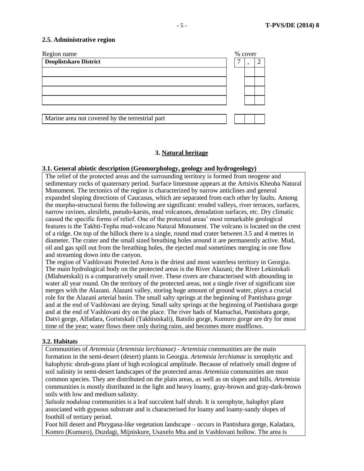#### **2.5. Administrative region**



#### **3. Natural heritage**

#### **3.1. General abiotic description (Geomorphology, geology and hydrogeology)**

The relief of the protected areas and the surrounding territory is formed from neogene and sedimentary rocks of quaternary period. Surface limestone appears at the Artsivis Kheoba Natural Monument. The tectonics of the region is characterized by narrow anticlines and general expanded sloping directions of Caucasus, which are separated from each other by faults. Among the morpho-structural forms the following are significant: eroded valleys, river terraces, surfaces, narrow ravines, alesilebi, pseudo-karsts, mud volcanoes, denudation surfaces, etc. Dry climatic caused the specific forms of relief. One of the protected areas' most remarkable geological features is the Takhti-Tepha mud-volcano Natural Monument. The volcano is located on the crest of a ridge. On top of the hillock there is a single, round mud crater between 3.5 and 4 metres in diameter. The crater and the small sized breathing holes around it are permanently active. Mud, oil and gas spill out from the breathing holes, the ejected mud sometimes merging in one flow and streaming down into the canyon.

The region of Vashlovani Protected Area is the driest and most waterless territory in Georgia. The main hydrological body on the protected areas is the River Alazani; the River Lekistskali (Mlahsetskali) is a comparatively small river. These rivers are characterised with abounding in water all year round. On the territory of the protected areas, not a single river of significant size merges with the Alazani. Alazani valley, storing huge amount of ground water, plays a crucial role for the Alazani arterial basin. The small salty springs at the beginning of Pantishara gorge and at the end of Vashlovani are drying. Small salty springs at the beginning of Pantishara gorge and at the end of Vashlovani dry on the place. The river bads of Mamachai, Pantishara gorge, Datvi gorge, Alfadara, Goristskali (Takhistskali), Batsilo gorge, Kumuro gorge are dry for most time of the year; water flows there only during rains, and becomes more mudflows.

#### **3.2. Habitats**

Communities of *Artemisia* (*Artemisia lerchianae)* - *Artemisia* communities are the main formation in the semi-desert (desert) plants in Georgia. *Artemisia lerchianae* is xerophytic and halophytic shrub-grass plant of high ecological amplitude. Because of relatively small degree of soil salinity in semi-desert landscapes of the protected areas *Artemisia* communities are most common species. They are distributed on the plain areas, as well as on slopes and hills. *Artemisia* communities is mostly distributed in the light and heavy loamy, gray-brown and gray-dark-brown soils with low and medium salinity.

*Salsola nodulosa* communities is a leaf succulent half shrub. It is xerophyte, halophyt plant associated with gypsous substrate and is characterised for loamy and loamy-sandy slopes of foothill of tertiary period.

Foot hill desert and Phrygana-like vegetation landscape – occurs in Pantishara gorge, Kaladara, Komro (Kumuro), Duzdagi, Mijniskure, Usaxelo Mta and in Vashlovani hollow. The area is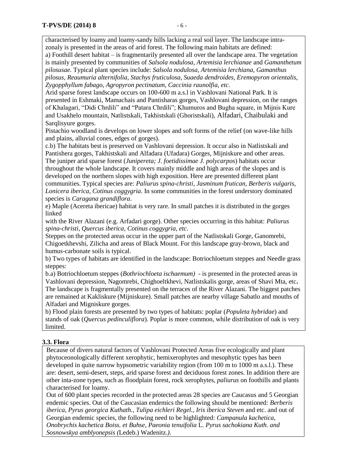characterised by loamy and loamy-sandy hills lacking a real soil layer. The landscape intrazonaly is presented in the areas of arid forest. The following main habitats are defined:

a) Foothill desert habitat – is fragmentarily presented all over the landscape area. The vegetation is mainly presented by communities of *Salsola nodulosa, Artemisia lerchianae* and *Gamanthetum pilosusae.* Typical plant species include: *Salsola nodulosa, Artemisia lerchiana, Gamanthus pilosus, Reaumuria alternifolia, Stachys fruticulosa, Suaeda dendroides, Eremopyron orientalis, Zygopphyllum fabago, Agropyron pectinatum, Caccinia raunolfia, etc.* 

Arid sparse forest landscape occurs on 100-600 m a.s.l in Vashlovani National Park. It is presented in Eshmaki, Mamachais and Pantisharas gorges, Vashlovani depression, on the ranges of Khalagari, "Didi Chrdili" and "Patara Chrdili"; Khumuros and Bugha square, in Mijnis Kure and Usakhelo mountain, Natlistskali, Takhistskali (Ghoristskali), Alfadari, Chaibulaki and Sarqlisyure gorges.

Pistachio woodland is develops on lower slopes and soft forms of the relief (on wave-like hills and plains, alluvial cones, edges of gorges).

c.b) The habitats best is preserved on Vashlovani depression. It occur also in Natlistskali and Pantishera gorges, Takhistskali and Alfadara (Ufadara) Gorges, Mijniskure and other areas. The juniper arid sparse forest (*Junipereta; J. foetidissimae J. polycarpos*) habitats occur

throughout the whole landscape. It covers mainly middle and high areas of the slopes and is developed on the northern slopes with high exposition. Here are presented different plant communities. Typical species are: *Paliurus spina-christi*, *Jasminum frutican*, *Berberis vulgaris, Lonicera iberica*, *Cotinus coggygria*. In some communities in the forest understory dominated species is *Caragana grandiflora*.

e) Maple (Acereta ibericae) habitat is very rare. In small patches it is distributed in the gorges linked

with the River Alazani (e.g. Arfadari gorge). Other species occurring in this habitat: *Paliurus spina-christi*, *Quercus iberica*, *Cotinus coggygria, etc.*

Steppes on the protected areas occur in the upper part of the Natlistskali Gorge, Ganomrebi, Chigoetkhevshi, Zilicha and areas of Black Mount. For this landscape gray-brown, black and humus-carbonate soils is typical.

b) Two types of habitats are identified in the landscape: Botriochloetum steppes and Needle grass steppes:

b.a) Botriochloetum steppes (*Bothriochloeta ischaemum)* - is presented in the protected areas in Vashlovani depression, Nagomrebi, Chighoeltkhevi, Natlistskalis gorge, areas of Shavi Mta, etc**.** The landscape is fragmentally presented on the terraces of the River Alazani. The biggest patches are remained at Kakliskure (Mijniskure). Small patches are nearby village Sabatlo and mouths of Alfadari and Migniskure gorges.

b) Flood plain forests are presented by two types of habitats: poplar (*Populeta hybridae*) and stands of oak (*Quercus pedinculiflora*). Poplar is more common, while distribution of oak is very limited.

#### **3.3. Flora**

Because of divers natural factors of Vashlovani Protected Areas five ecologically and plant phytoceonologically different xerophytic, hemixerophytes and mesophytic types has been developed in quite narrow hypsometric variability region (from 100 m to 1000 m a.s.l.). These are: desert, semi-desert, steps, arid sparse forest and deciduous forest zones. In addition there are other inta-zone types, such as floodplain forest, rock xerophytes, *paliurus* on foothills and plants characterised for loamy.

Out of 600 plant species recorded in the protected areas 28 species are Caucasus and 5 Georgian endemic species. Out of the Caucasian endemics the following should be mentioned: *Berberis iberica, Pyrus georgica Kuthath.*, *Tulipa eichleri Regel., Iris iberica Steven* and etc. and out of Georgian endemic species, the following need to be highlighted: *Campanula kachetica*, *Onobrychis kachetica Boiss. et Buhse*, *Paeonia tenuifolia* L*. Pyrus sachokiana Kuth. and Sosnowskya amblyonepsis (*Ledeb.) Wadenitz*.)*.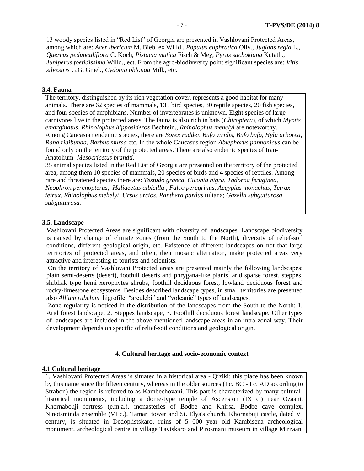13 woody species listed in "Red List" of Georgia are presented in Vashlovani Protected Areas, among which are: *Acer ibericum* M. Bieb. ex Willd., *Populus euphratica* Oliv*.*, *Juglans regia* L., *Quercus pedunculiflora* C. Koch, *Pistacia mutica* Fisch & Mey, *Pyrus sachokiana* Kutath*.*, *Juniperus foetidissima* Willd*.,* ect. From the agro-biodiversity point significant species are: *Vitis silvestris* G.G. Gmel*.*, *Cydonia oblonga* Mill*.*, etc.

#### **3.4. Fauna**

The territory, distinguished by its rich vegetation cover, represents a good habitat for many animals. There are 62 species of mammals, 135 bird species, 30 reptile species, 20 fish species, and four species of amphibians. Number of invertebrates is unknown. Eight species of large carnivores live in the protected areas. The fauna is also rich in bats (*Chiroptera*), of which *Myotis emarginatus, Rhinolophus hipposideros* Bechtein.*, Rhinolophus mehelyi* are noteworthy. Among Caucasian endemic species, there are *Sorex raddei*, *Bufo viridis*, *Bufo bufo*, *Hyla arborea*, *Rana ridibunda*, *Barbus mursa* etc. In the whole Caucasus region *Ablephorus pannonicus* can be found only on the territory of the protected areas. There are also endemic species of Iran-Anatolium -*Mesocricetus brandti*.

35 animal species listed in the Red List of Georgia are presented on the territory of the protected area, among them 10 species of mammals, 20 species of birds and 4 species of reptiles. Among rare and threatened species there are: *Testudo graeca, Ciconia nigra, Tadorna feruginea, Neophron percnopterus, Haliaeetus albicilla , Falco peregrinus*, *Aegypius monachus*, *Tetrax tetrax*, *Rhinolophus mehelyi*, *Ursus arctos*, *Panthera pardus* tuliana; *Gazella subgutturosa subgutturosa.*

#### **3.5. Landscape**

Vashlovani Protected Areas are significant with diversity of landscapes. Landscape biodiversity is caused by change of climate zones (from the South to the North), diversity of relief-soil conditions, different geological origin, etc. Existence of different landscapes on not that large territories of protected areas, and often, their mosaic alternation, make protected areas very attractive and interesting to tourists and scientists.

On the territory of Vashlovani Protected areas are presented mainly the following landscapes: plain semi-deserts (desert), foothill deserts and phrygana-like plants, arid sparse forest, steppes, shibliak type hemi xerophytes shrubs, foothill deciduous forest, lowland deciduous forest and rocky-limestone ecosystems. Besides described landscape types, in small territories are presented also *Allium rubelum* higrofile, "areulebi" and "volcanic" types of landscapes.

Zone regularity is noticed in the distribution of the landscapes from the South to the North: 1. Arid forest landscape, 2. Steppes landscape, 3. Foothill deciduous forest landscape. Other types of landscapes are included in the above mentioned landscape areas in an intra-zonal way. Their development depends on specific of relief-soil conditions and geological origin.

## **4. Cultural heritage and socio-economic context**

#### **4.1 Cultural heritage**

1. Vashlovani Protected Areas is situated in a historical area - Qiziki; this place has been known by this name since the fifteen century, whereas in the older sources (I c. BC - I c. AD according to Strabon) the region is referred to as Kambechovani. This part is characterized by many culturalhistorical monuments, including a dome-type temple of Ascension (IX c.) near Ozaani, Khornabouji fortress (e.m.a.), monasteries of Bodbe and Khirsa, Bodbe cave complex, Ninotsminda ensemble (VI c.), Tamari tower and St. Elya's church. Khornabuji castle, dated VI century, is situated in Dedoplistskaro, ruins of 5 000 year old Kambisena archeological monument, archeological centre in village Tavtskaro and Pirosmani museum in village Mirzaani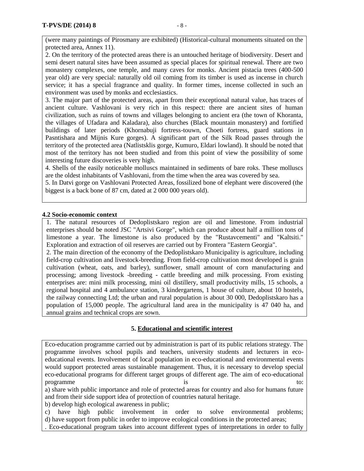(were many paintings of Pirosmany are exhibited) (Historical-cultural monuments situated on the protected area, Annex 11).

2. On the territory of the protected areas there is an untouched heritage of biodiversity. Desert and semi desert natural sites have been assumed as special places for spiritual renewal. There are two monastery complexes, one temple, and many caves for monks. Ancient pistacia trees (400-500 year old) are very special: naturally old oil coming from its timber is used as incense in church service; it has a special fragrance and quality. In former times, incense collected in such an environment was used by monks and ecclesiastics.

3. The major part of the protected areas, apart from their exceptional natural value, has traces of ancient culture. Vashlovani is very rich in this respect: there are ancient sites of human civilization, such as ruins of towns and villages belonging to ancient era (the town of Khoranta, the villages of Ufadara and Kaladara), also churches (Black mountain monastery) and fortified buildings of later periods (Khornabuji fortress-touwn, Choeti fortress, guard stations in Pasntishara and Mijnis Kure gorges). A significant part of the Silk Road passes through the territory of the protected area (Natlistsklis gorge, Kumuro, Eldari lowland). It should be noted that most of the territory has not been studied and from this point of view the possibility of some interesting future discoveries is very high.

4. Shells of the easily noticeable molluscs maintained in sediments of bare roks. These molluscs are the oldest inhabitants of Vashlovani, from the time when the area was covered by sea.

5. In Datvi gorge on Vashlovani Protected Areas, fossilized bone of elephant were discovered (the biggest is a back bone of 87 cm, dated at 2 000 000 years old).

#### **4.2 Socio-economic context**

1. The natural resources of Dedoplistskaro region are oil and limestone. From industrial enterprises should be noted JSC "Artsivi Gorge", which can produce about half a million tons of limestone a year. The limestone is also produced by the "Rustavcementi" and "Kaltsiti." Exploration and extraction of oil reserves are carried out by Frontera "Eastern Georgia".

2. The main direction of the economy of the Dedoplistskaro Municipality is agriculture, including field-crop cultivation and livestock-breeding. From field-crop cultivation most developed is grain cultivation (wheat, oats, and barley), sunflower, small amount of corn manufacturing and processing; among livestock -breeding - cattle breeding and milk processing. From existing enterprises are: mini milk processing, mini oil distillery, small productivity mills, 15 schools, a regional hospital and 4 ambulance station, 3 kindergartens, 1 house of culture, about 10 hostels, the railway connecting Ltd; the urban and rural population is about 30 000, Dedoplistskaro has a population of 15,000 people. The agricultural land area in the municipality is 47 040 ha, and annual grains and technical crops are sown.

#### **5. Educational and scientific interest**

Eco-education programme carried out by administration is part of its public relations strategy. The programme involves school pupils and teachers, university students and lecturers in ecoeducational events. Involvement of local population in eco-educational and environmental events would support protected areas sustainable management. Thus, it is necessary to develop special eco-educational programs for different target groups of different age. The aim of eco-educational programme is to:

a) share with public importance and role of protected areas for country and also for humans future and from their side support idea of protection of countries natural heritage.

b) develop high ecological awareness in public;

c) have high public involvement in order to solve environmental problems; d) have support from public in order to improve ecological conditions in the protected areas;

. Eco-educational program takes into account different types of interpretations in order to fully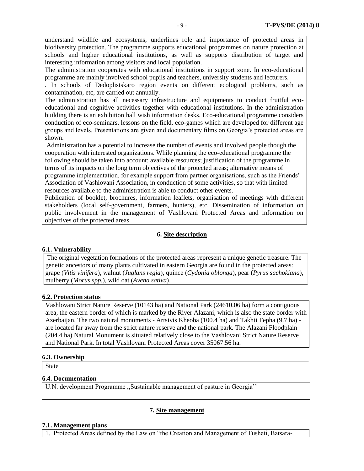understand wildlife and ecosystems, underlines role and importance of protected areas in biodiversity protection. The programme supports educational programmes on nature protection at schools and higher educational institutions, as well as supports distribution of target and interesting information among visitors and local population.

The administration cooperates with educational institutions in support zone. In eco-educational programme are mainly involved school pupils and teachers, university students and lecturers.

. In schools of Dedoplistskaro region events on different ecological problems, such as contamination, etc, are carried out annually.

The administration has all necessary infrastructure and equipments to conduct fruitful ecoeducational and cognitive activities together with educational institutions. In the administration building there is an exhibition hall wish information desks. Eco-educational programme considers conduction of eco-seminars, lessons on the field, eco-games which are developed for different age groups and levels. Presentations are given and documentary films on Georgia's protected areas are shown.

Administration has a potential to increase the number of events and involved people though the cooperation with interested organizations. While planning the eco-educational programme the following should be taken into account: available resources; justification of the programme in terms of its impacts on the long term objectives of the protected areas; alternative means of programme implementation, for example support from partner organisations, such as the Friends' Association of Vashlovani Association, in conduction of some activities, so that with limited resources available to the administration is able to conduct other events.

Publication of booklet, brochures, information leaflets, organisation of meetings with different stakeholders (local self-government, farmers, hunters), etc. Dissemination of information on public involvement in the management of Vashlovani Protected Areas and information on objectives of the protected areas

#### **6. Site description**

#### **6.1. Vulnerability**

The original vegetation formations of the protected areas represent a unique genetic treasure. The genetic ancestors of many plants cultivated in eastern Georgia are found in the protected areas: grape (*Vitis vinifera*), walnut (*Juglans regia*), quince (*Cydonia oblonga*), pear (*Pyrus sachokiana*), mulberry (*Morus spp.*)*,* wild oat (*Avena sativa*).

#### **6.2. Protection status**

Vashlovani Strict Nature Reserve (10143 ha) and National Park (24610.06 ha) form a contiguous area, the eastern border of which is marked by the River Alazani, which is also the state border with Azerbaijan. The two natural monuments - Artsivis Kheoba (100.4 ha) and Takhti Tepha (9.7 ha) are located far away from the strict nature reserve and the national park. The Alazani Floodplain (204.4 ha) Natural Monument is situated relatively close to the Vashlovani Strict Nature Reserve and National Park. In total Vashlovani Protected Areas cover 35067.56 ha.

#### **6.3. Ownership**

State

#### **6.4. Documentation**

U.N. development Programme ,,Sustainable management of pasture in Georgia''

#### **7. Site management**

#### **7.1. Management plans**

1. Protected Areas defined by the Law on "the Creation and Management of Tusheti, Batsara-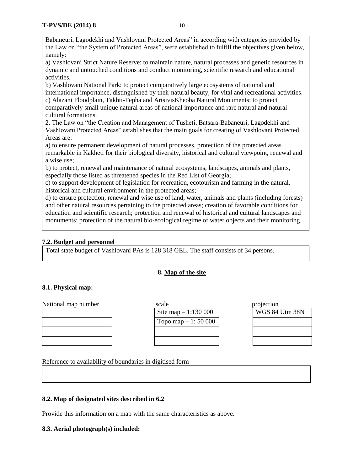Babaneuri, Lagodekhi and Vashlovani Protected Areas" in according with categories provided by the Law on "the System of Protected Areas", were established to fulfill the objectives given below, namely:

a) Vashlovani Strict Nature Reserve: to maintain nature, natural processes and genetic resources in dynamic and untouched conditions and conduct monitoring, scientific research and educational activities.

b) Vashlovani National Park: to protect comparatively large ecosystems of national and international importance, distinguished by their natural beauty, for vital and recreational activities. c) Alazani Floodplain, Takhti-Tepha and ArtsivisKheoba Natural Monuments: to protect comparatively small unique natural areas of national importance and rare natural and naturalcultural formations.

2. The Law on "the Creation and Management of Tusheti, Batsara-Babaneuri, Lagodekhi and Vashlovani Protected Areas" establishes that the main goals for creating of Vashlovani Protected Areas are:

a) to ensure permanent development of natural processes, protection of the protected areas remarkable in Kakheti for their biological diversity, historical and cultural viewpoint, renewal and a wise use;

b) to protect, renewal and maintenance of natural ecosystems, landscapes, animals and plants, especially those listed as threatened species in the Red List of Georgia;

c) to support development of legislation for recreation, ecotourism and farming in the natural, historical and cultural environment in the protected areas;

d) to ensure protection, renewal and wise use of land, water, animals and plants (including forests) and other natural resources pertaining to the protected areas; creation of favorable conditions for education and scientific research; protection and renewal of historical and cultural landscapes and monuments; protection of the natural bio-ecological regime of water objects and their monitoring.

## **7.2. Budget and personnel**

Total state budget of Vashlovani PAs is 128 318 GEL. The staff consists of 34 persons.

#### **8. Map of the site**

## **8.1. Physical map:**

| National map number | scale                | projection    |
|---------------------|----------------------|---------------|
|                     | Site map $-1:130000$ | <b>WGS 84</b> |
|                     | Topo map $-1: 50000$ |               |
|                     |                      |               |
|                     |                      |               |

**WGS 84 Utm 38N** 

Reference to availability of boundaries in digitised form

## **8.2. Map of designated sites described in 6.2**

Provide this information on a map with the same characteristics as above.

#### **8.3. Aerial photograph(s) included:**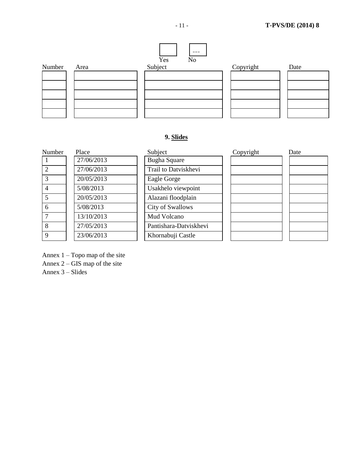

## **9. Slides**

| Number         | Place      | Subject                 | Copyright | Date |
|----------------|------------|-------------------------|-----------|------|
|                | 27/06/2013 | <b>Bugha Square</b>     |           |      |
| $\overline{2}$ | 27/06/2013 | Trail to Datviskhevi    |           |      |
| 3              | 20/05/2013 | Eagle Gorge             |           |      |
| 4              | 5/08/2013  | Usakhelo viewpoint      |           |      |
| 5              | 20/05/2013 | Alazani floodplain      |           |      |
| 6              | 5/08/2013  | <b>City of Swallows</b> |           |      |
| 7              | 13/10/2013 | Mud Volcano             |           |      |
| 8              | 27/05/2013 | Pantishara-Datviskhevi  |           |      |
| 9              | 23/06/2013 | Khornabuji Castle       |           |      |

Annex 1 – Topo map of the site

Annex 2 – GIS map of the site

Annex 3 – Slides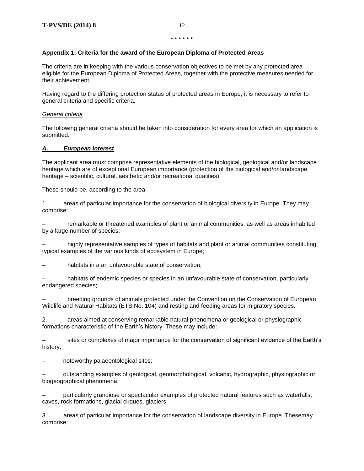#### **Appendix 1: Criteria for the award of the European Diploma of Protected Areas**

The criteria are in keeping with the various conservation objectives to be met by any protected area eligible for the European Diploma of Protected Areas, together with the protective measures needed for their achievement.

Having regard to the differing protection status of protected areas in Europe, it is necessary to refer to general criteria and specific criteria.

#### *General criteria*

The following general criteria should be taken into consideration for every area for which an application is submitted.

#### *A. European interest*

The applicant area must comprise representative elements of the biological, geological and/or landscape heritage which are of exceptional European importance (protection of the biological and/or landscape heritage – scientific, cultural, aesthetic and/or recreational qualities).

These should be, according to the area:

1. areas of particular importance for the conservation of biological diversity in Europe. They may comprise:

– remarkable or threatened examples of plant or animal communities, as well as areas inhabited by a large number of species;

– highly representative samples of types of habitats and plant or animal communities constituting typical examples of the various kinds of ecosystem in Europe;

habitats in a an unfavourable state of conservation;

habitats of endemic species or species in an unfavourable state of conservation, particularly endangered species;

– breeding grounds of animals protected under the Convention on the Conservation of European Wildlife and Natural Habitats (ETS No. 104) and resting and feeding areas for migratory species.

2. areas aimed at conserving remarkable natural phenomena or geological or physiographic formations characteristic of the Earth's history. These may include:

– sites or complexes of major importance for the conservation of significant evidence of the Earth's history;

– noteworthy palaeontological sites;

– outstanding examples of geological, geomorphological, volcanic, hydrographic, physiographic or biogeographical phenomena;

– particularly grandiose or spectacular examples of protected natural features such as waterfalls, caves, rock formations, glacial cirques, glaciers.

3. areas of particular importance for the conservation of landscape diversity in Europe. Thesemay comprise: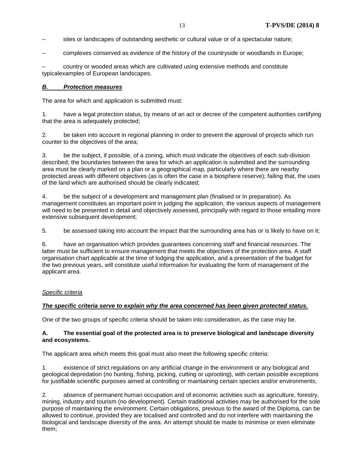- sites or landscapes of outstanding aesthetic or cultural value or of a spectacular nature;
- complexes conserved as evidence of the history of the countryside or woodlands in Europe;

– country or wooded areas which are cultivated using extensive methods and constitute typicalexamples of European landscapes.

#### *B. Protection measures*

The area for which and application is submitted must:

1. have a legal protection status, by means of an act or decree of the competent authorities certifying that the area is adequately protected;

2. be taken into account in regional planning in order to prevent the approval of projects which run counter to the objectives of the area;

3. be the subject, if possible, of a zoning, which must indicate the objectives of each sub-division described; the boundaries between the area for which an application is submitted and the surrounding area must be clearly marked on a plan or a geographical map, particularly where there are nearby protected areas with different objectives (as is often the case in a biosphere reserve); failing that, the uses of the land which are authorised should be clearly indicated;

4. be the subject of a development and management plan (finalised or in preparation). As management constitutes an important point in judging the application, the various aspects of management will need to be presented in detail and objectively assessed, principally with regard to those entailing more extensive subsequent development:

5. be assessed taking into account the impact that the surrounding area has or is likely to have on it;

6. have an organisation which provides guarantees concerning staff and financial resources. The latter must be sufficient to ensure management that meets the objectives of the protection area. A staff organisation chart applicable at the time of lodging the application, and a presentation of the budget for the two previous years, will constitute useful information for evaluating the form of management of the applicant area.

#### *Specific criteria*

#### *The specific criteria serve to explain why the area concerned has been given protected status.*

One of the two groups of specific criteria should be taken into consideration, as the case may be.

#### **A. The essential goal of the protected area is to preserve biological and landscape diversity and ecosystems.**

The applicant area which meets this goal must also meet the following specific criteria:

1. existence of strict regulations on any artificial change in the environment or any biological and geological depredation (no hunting, fishing, picking, cutting or uprooting), with certain possible exceptions for justifiable scientific purposes aimed at controlling or maintaining certain species and/or environments;

2. absence of permanent human occupation and of economic activities such as agriculture, forestry, mining, industry and tourism (no development). Certain traditional activities may be authorised for the sole purpose of maintaining the environment. Certain obligations, previous to the award of the Diploma, can be allowed to continue, provided they are localised and controlled and do not interfere with maintaining the biological and landscape diversity of the area. An attempt should be made to minimise or even eliminate them;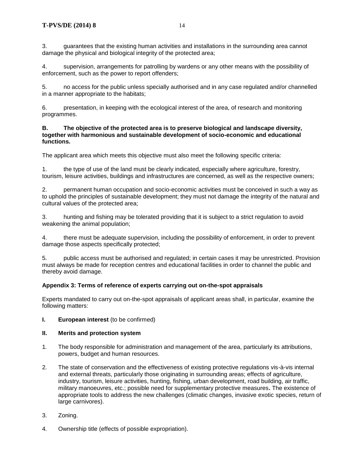3. guarantees that the existing human activities and installations in the surrounding area cannot damage the physical and biological integrity of the protected area;

4. supervision, arrangements for patrolling by wardens or any other means with the possibility of enforcement, such as the power to report offenders;

5. no access for the public unless specially authorised and in any case regulated and/or channelled in a manner appropriate to the habitats;

6. presentation, in keeping with the ecological interest of the area, of research and monitoring programmes.

#### **B. The objective of the protected area is to preserve biological and landscape diversity, together with harmonious and sustainable development of socio-economic and educational functions.**

The applicant area which meets this objective must also meet the following specific criteria:

1. the type of use of the land must be clearly indicated, especially where agriculture, forestry, tourism, leisure activities, buildings and infrastructures are concerned, as well as the respective owners;

2. permanent human occupation and socio-economic activities must be conceived in such a way as to uphold the principles of sustainable development; they must not damage the integrity of the natural and cultural values of the protected area;

3. hunting and fishing may be tolerated providing that it is subject to a strict regulation to avoid weakening the animal population;

4. there must be adequate supervision, including the possibility of enforcement, in order to prevent damage those aspects specifically protected;

5. public access must be authorised and regulated; in certain cases it may be unrestricted. Provision must always be made for reception centres and educational facilities in order to channel the public and thereby avoid damage.

#### **Appendix 3: Terms of reference of experts carrying out on-the-spot appraisals**

Experts mandated to carry out on-the-spot appraisals of applicant areas shall, in particular, examine the following matters:

#### **I. European interest** (to be confirmed)

#### **II. Merits and protection system**

- 1*.* The body responsible for administration and management of the area, particularly its attributions, powers, budget and human resources.
- 2*.* The state of conservation and the effectiveness of existing protective regulations vis-à-vis internal and external threats, particularly those originating in surrounding areas; effects of agriculture, industry, tourism, leisure activities, hunting, fishing, urban development, road building, air traffic, military manoeuvres, etc.; possible need for supplementary protective measures**.** The existence of appropriate tools to address the new challenges (climatic changes, invasive exotic species, return of large carnivores).
- 3. Zoning.
- 4*.* Ownership title (effects of possible expropriation).